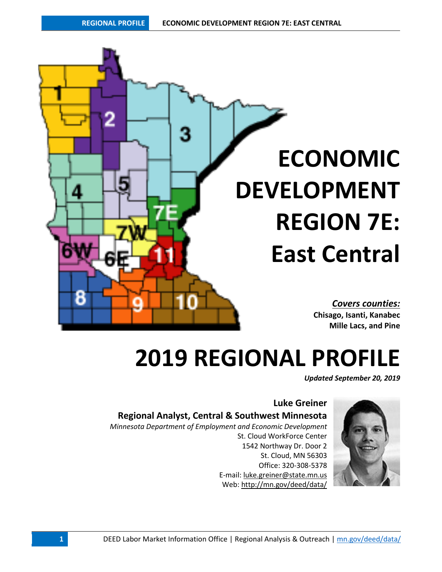

# **2019 REGIONAL PROFILE**

*Updated September 20, 2019*

# **Luke Greiner Regional Analyst, Central & Southwest Minnesota**

*Minnesota Department of Employment and Economic Development*

St. Cloud WorkForce Center 1542 Northway Dr. Door 2 St. Cloud, MN 56303 Office: 320-308-5378 E-mail: [luke.greiner@state.mn.us](mailto:luke.greiner@state.mn.us) Web: <http://mn.gov/deed/data/>

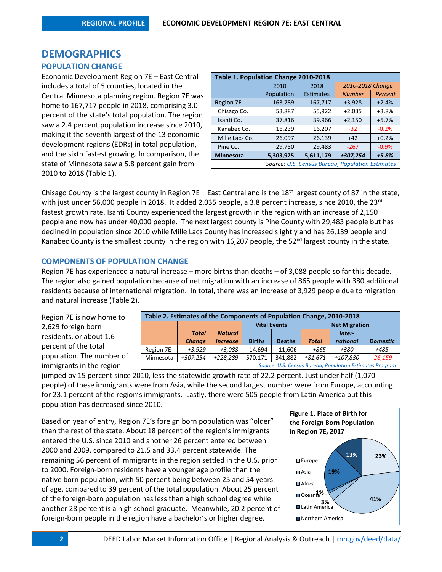# **DEMOGRAPHICS**

### **POPULATION CHANGE**

Economic Development Region 7E – East Central includes a total of 5 counties, located in the Central Minnesota planning region. Region 7E was home to 167,717 people in 2018, comprising 3.0 percent of the state's total population. The region saw a 2.4 percent population increase since 2010, making it the seventh largest of the 13 economic development regions (EDRs) in total population, and the sixth fastest growing. In comparison, the state of Minnesota saw a 5.8 percent gain from 2010 to 2018 (Table 1).

| Table 1. Population Change 2010-2018 |            |                                                         |                  |         |  |  |  |  |  |
|--------------------------------------|------------|---------------------------------------------------------|------------------|---------|--|--|--|--|--|
|                                      | 2010       | 2018                                                    | 2010-2018 Change |         |  |  |  |  |  |
|                                      | Population | <b>Estimates</b>                                        | <b>Number</b>    | Percent |  |  |  |  |  |
| <b>Region 7E</b>                     | 163,789    | 167,717                                                 | $+3,928$         | $+2.4%$ |  |  |  |  |  |
| Chisago Co.                          | 53,887     | 55,922                                                  | $+2,035$         | $+3.8%$ |  |  |  |  |  |
| Isanti Co.                           | 37,816     | 39,966                                                  | $+2,150$         | $+5.7%$ |  |  |  |  |  |
| Kanabec Co.                          | 16,239     | 16,207                                                  | $-32$            | $-0.2%$ |  |  |  |  |  |
| Mille Lacs Co.                       | 26,097     | 26,139                                                  | $+42$            | $+0.2%$ |  |  |  |  |  |
| Pine Co.                             | 29,750     | 29,483                                                  | $-267$           | $-0.9%$ |  |  |  |  |  |
| <b>Minnesota</b>                     | 5,303,925  | 5,611,179                                               | +307,254         | $+5.8%$ |  |  |  |  |  |
|                                      |            | <b>Source: U.S. Census Bureau, Population Estimates</b> |                  |         |  |  |  |  |  |

Chisago County is the largest county in Region 7E – East Central and is the 18<sup>th</sup> largest county of 87 in the state, with just under 56,000 people in 2018. It added 2,035 people, a 3.8 percent increase, since 2010, the 23<sup>rd</sup> fastest growth rate. Isanti County experienced the largest growth in the region with an increase of 2,150 people and now has under 40,000 people. The next largest county is Pine County with 29,483 people but has declined in population since 2010 while Mille Lacs County has increased slightly and has 26,139 people and Kanabec County is the smallest county in the region with 16,207 people, the 52<sup>nd</sup> largest county in the state.

### **COMPONENTS OF POPULATION CHANGE**

Region 7E has experienced a natural increase – more births than deaths – of 3,088 people so far this decade. The region also gained population because of net migration with an increase of 865 people with 380 additional residents because of international migration. In total, there was an increase of 3,929 people due to migration and natural increase (Table 2).

| Region 7E is now home to  | <b>Table 2. Estimates of the Component</b> |               |                 |     |
|---------------------------|--------------------------------------------|---------------|-----------------|-----|
| 2,629 foreign born        |                                            |               |                 |     |
| residents, or about 1.6   |                                            | <b>Total</b>  | <b>Natural</b>  |     |
|                           |                                            | <b>Change</b> | <b>Increase</b> | Bi  |
| percent of the total      | Region 7E                                  | $+3.929$      | $+3,088$        | 14  |
| population. The number of | Minnesota                                  | +307,254      | +228,289        | 570 |
| immigrants in the region  |                                            |               |                 |     |
|                           |                                            |               |                 |     |

| Table 2. Estimates of the Components of Population Change, 2010-2018 |               |                 |                                             |               |              |                                                          |                 |  |  |
|----------------------------------------------------------------------|---------------|-----------------|---------------------------------------------|---------------|--------------|----------------------------------------------------------|-----------------|--|--|
|                                                                      |               |                 | <b>Net Migration</b><br><b>Vital Events</b> |               |              |                                                          |                 |  |  |
|                                                                      | <b>Total</b>  | <b>Natural</b>  |                                             |               | Inter-       |                                                          |                 |  |  |
|                                                                      | <b>Change</b> | <b>Increase</b> | <b>Births</b>                               | <b>Deaths</b> | <b>Total</b> | national                                                 | <b>Domestic</b> |  |  |
| Region 7E                                                            | $+3.929$      | $+3,088$        | 14.694                                      | 11,606        | +865         | +380                                                     | +485            |  |  |
| Minnesota                                                            | +307,254      | +228,289        | 570,171                                     | 341.882       | $+81.671$    | +107,830                                                 | $-26.159$       |  |  |
|                                                                      |               |                 |                                             |               |              | Source: U.S. Census Bureau, Population Estimates Program |                 |  |  |

jumped by 15 percent since 2010, less the statewide growth rate of 22.2 percent. Just under half (1,070 people) of these immigrants were from Asia, while the second largest number were from Europe, accounting for 23.1 percent of the region's immigrants. Lastly, there were 505 people from Latin America but this population has decreased since 2010.

Based on year of entry, Region 7E's foreign born population was "older" than the rest of the state. About 18 percent of the region's immigrants entered the U.S. since 2010 and another 26 percent entered between 2000 and 2009, compared to 21.5 and 33.4 percent statewide. The remaining 56 percent of immigrants in the region settled in the U.S. prior to 2000. Foreign-born residents have a younger age profile than the native born population, with 50 percent being between 25 and 54 years of age, compared to 39 percent of the total population. About 25 percent of the foreign-born population has less than a high school degree while another 28 percent is a high school graduate. Meanwhile, 20.2 percent of foreign-born people in the region have a bachelor's or higher degree.

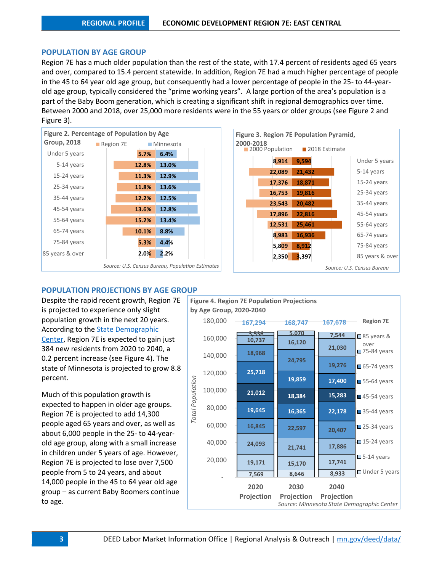### **POPULATION BY AGE GROUP**

Region 7E has a much older population than the rest of the state, with 17.4 percent of residents aged 65 years and over, compared to 15.4 percent statewide. In addition, Region 7E had a much higher percentage of people in the 45 to 64 year old age group, but consequently had a lower percentage of people in the 25- to 44-yearold age group, typically considered the "prime working years". A large portion of the area's population is a part of the Baby Boom generation, which is creating a significant shift in regional demographics over time. Between 2000 and 2018, over 25,000 more residents were in the 55 years or older groups (see Figure 2 and Figure 3).





# **POPULATION PROJECTIONS BY AGE GROUP**

Despite the rapid recent growth, Region 7E is projected to experience only slight population growth in the next 20 years. According to the [State Demographic](http://mn.gov/admin/demography/data-by-topic/population-data/our-projections/index.jsp)  [Center,](http://mn.gov/admin/demography/data-by-topic/population-data/our-projections/index.jsp) Region 7E is expected to gain just 384 new residents from 2020 to 2040, a 0.2 percent increase (see Figure 4). The state of Minnesota is projected to grow 8.8 percent.

Much of this population growth is expected to happen in older age groups. Region 7E is projected to add 14,300 people aged 65 years and over, as well as about 6,000 people in the 25- to 44-yearold age group, along with a small increase in children under 5 years of age. However, Region 7E is projected to lose over 7,500 people from 5 to 24 years, and about 14,000 people in the 45 to 64 year old age group – as current Baby Boomers continue to age.

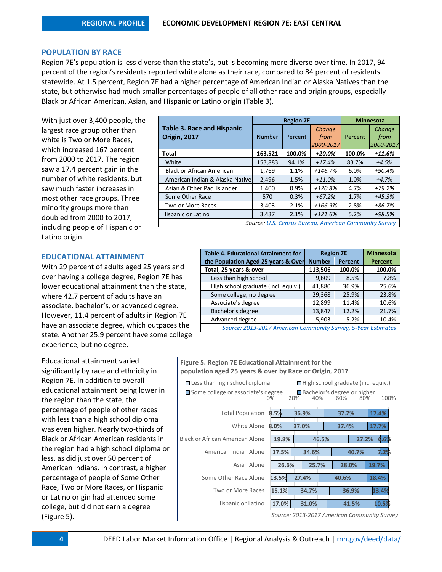### **POPULATION BY RACE**

Region 7E's population is less diverse than the state's, but is becoming more diverse over time. In 2017, 94 percent of the region's residents reported white alone as their race, compared to 84 percent of residents statewide. At 1.5 percent, Region 7E had a higher percentage of American Indian or Alaska Natives than the state, but otherwise had much smaller percentages of people of all other race and origin groups, especially Black or African American, Asian, and Hispanic or Latino origin (Table 3).

With just over 3,400 people, the largest race group other than white is Two or More Races, which increased 167 percent from 2000 to 2017. The region saw a 17.4 percent gain in the number of white residents, but saw much faster increases in most other race groups. Three minority groups more than doubled from 2000 to 2017, including people of Hispanic or Latino origin.

### **EDUCATIONAL ATTAINMENT**

With 29 percent of adults aged 25 years and over having a college degree, Region 7E has lower educational attainment than the state, where 42.7 percent of adults have an associate, bachelor's, or advanced degree. However, 11.4 percent of adults in Region 7E have an associate degree, which outpaces the state. Another 25.9 percent have some college experience, but no degree.

Educational attainment varied significantly by race and ethnicity in Region 7E. In addition to overall educational attainment being lower in the region than the state, the percentage of people of other races with less than a high school diploma was even higher. Nearly two-thirds of Black or African American residents in the region had a high school diploma or less, as did just over 50 percent of American Indians. In contrast, a higher percentage of people of Some Other Race, Two or More Races, or Hispanic or Latino origin had attended some college, but did not earn a degree (Figure 5).

|                                                          |               | <b>Region 7E</b> | <b>Minnesota</b>                                             |         |                             |
|----------------------------------------------------------|---------------|------------------|--------------------------------------------------------------|---------|-----------------------------|
| <b>Table 3. Race and Hispanic</b><br><b>Origin, 2017</b> | <b>Number</b> | Percent          | <b>Change</b><br>from<br>2000-2017                           | Percent | Change<br>from<br>2000-2017 |
| Total                                                    | 163,521       | 100.0%           | $+20.0\%$                                                    | 100.0%  | +11.6%                      |
| White                                                    | 153,883       | 94.1%            | $+17.4%$                                                     | 83.7%   | $+4.5%$                     |
| <b>Black or African American</b>                         | 1,769         | 1.1%             | $+146.7%$                                                    | 6.0%    | +90.4%                      |
| American Indian & Alaska Nativel                         | 2,496         | 1.5%             | $+11.0%$                                                     | 1.0%    | $+4.7%$                     |
| Asian & Other Pac. Islander                              | 1,400         | 0.9%             | $+120.8%$                                                    | 4.7%    | $+79.2%$                    |
| Some Other Race                                          | 570           | 0.3%             | $+67.2%$                                                     | 1.7%    | $+45.3%$                    |
| Two or More Races                                        | 3,403         | 2.1%             | +166.9%                                                      | 2.8%    | +86.7%                      |
| Hispanic or Latino                                       | 3,437         | 2.1%             | $+121.6%$                                                    | 5.2%    | +98.5%                      |
|                                                          |               |                  | <b>Source: U.S. Census Bureau, American Community Survey</b> |         |                             |

| <b>Table 4. Educational Attainment for</b>                    | <b>Region 7E</b> |                | <b>Minnesota</b> |
|---------------------------------------------------------------|------------------|----------------|------------------|
| the Population Aged 25 years & Over                           | <b>Number</b>    | <b>Percent</b> | Percent          |
| Total, 25 years & over                                        | 113,506          | 100.0%         | 100.0%           |
| Less than high school                                         | 9,609            | 8.5%           | 7.8%             |
| High school graduate (incl. equiv.)                           | 41,880           | 36.9%          | 25.6%            |
| Some college, no degree                                       | 29,368           | 25.9%          | 23.8%            |
| Associate's degree                                            | 12,899           | 11.4%          | 10.6%            |
| Bachelor's degree                                             | 13,847           | 12.2%          | 21.7%            |
| Advanced degree                                               | 5,903            | 5.2%           | 10.4%            |
| Source: 2013-2017 American Community Survey, 5-Year Estimates |                  |                |                  |

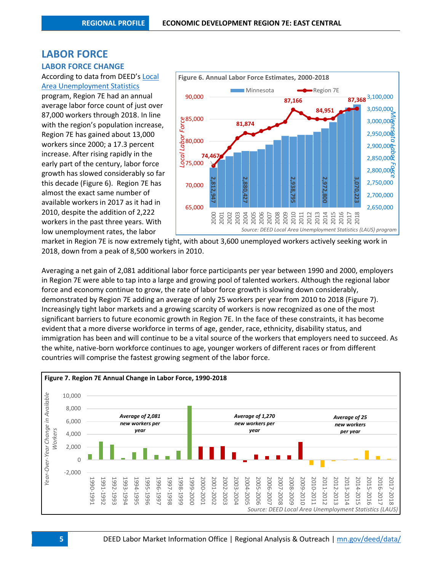# **LABOR FORCE**

### **LABOR FORCE CHANGE**

## According to data from DEED's [Local](http://www.mn.gov/deed/data/data-tools/laus/)  [Area Unemployment Statistics](http://www.mn.gov/deed/data/data-tools/laus/)

program, Region 7E had an annual average labor force count of just over 87,000 workers through 2018. In line with the region's population increase, Region 7E has gained about 13,000 workers since 2000; a 17.3 percent increase. After rising rapidly in the early part of the century, labor force growth has slowed considerably so far this decade (Figure 6). Region 7E has almost the exact same number of available workers in 2017 as it had in 2010, despite the addition of 2,222 workers in the past three years. With low unemployment rates, the labor



market in Region 7E is now extremely tight, with about 3,600 unemployed workers actively seeking work in 2018, down from a peak of 8,500 workers in 2010.

Averaging a net gain of 2,081 additional labor force participants per year between 1990 and 2000, employers in Region 7E were able to tap into a large and growing pool of talented workers. Although the regional labor force and economy continue to grow, the rate of labor force growth is slowing down considerably, demonstrated by Region 7E adding an average of only 25 workers per year from 2010 to 2018 (Figure 7). Increasingly tight labor markets and a growing scarcity of workers is now recognized as one of the most significant barriers to future economic growth in Region 7E. In the face of these constraints, it has become evident that a more diverse workforce in terms of age, gender, race, ethnicity, disability status, and immigration has been and will continue to be a vital source of the workers that employers need to succeed. As the white, native-born workforce continues to age, younger workers of different races or from different countries will comprise the fastest growing segment of the labor force.



**5** DEED Labor Market Information Office | Regional Analysis & Outreach [| mn.gov/deed/data/](http://www.mn.gov/deed/data/)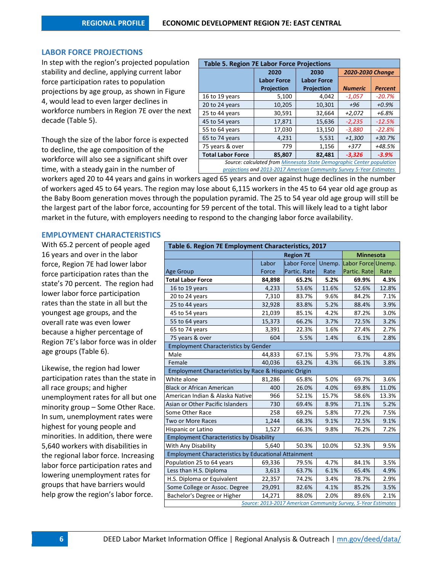### **LABOR FORCE PROJECTIONS**

In step with the region's projected population stability and decline, applying current labor force participation rates to population projections by age group, as shown in Figure 4, would lead to even larger declines in workforce numbers in Region 7E over the next decade (Table 5).

Though the size of the labor force is expected to decline, the age composition of the workforce will also see a significant shift over time, with a steady gain in the number of

| <b>Table 5. Region 7E Labor Force Projections</b>                     |                                                                      |                    |                         |                |  |  |  |  |  |
|-----------------------------------------------------------------------|----------------------------------------------------------------------|--------------------|-------------------------|----------------|--|--|--|--|--|
|                                                                       | 2020                                                                 | 2030               | <b>2020-2030 Change</b> |                |  |  |  |  |  |
|                                                                       | <b>Labor Force</b>                                                   | <b>Labor Force</b> |                         |                |  |  |  |  |  |
|                                                                       | <b>Projection</b>                                                    | Projection         | <b>Numeric</b>          | <b>Percent</b> |  |  |  |  |  |
| 16 to 19 years                                                        | 5,100                                                                | 4,042              | $-1,057$                | $-20.7%$       |  |  |  |  |  |
| 20 to 24 years                                                        | 10,205                                                               | 10,301             | $+96$                   | $+0.9%$        |  |  |  |  |  |
| 25 to 44 years                                                        | 30,591                                                               | 32,664             | $+2,072$                | $+6.8%$        |  |  |  |  |  |
| 45 to 54 years                                                        | 17,871                                                               | 15,636             | $-2,235$                | $-12.5%$       |  |  |  |  |  |
| 55 to 64 years                                                        | 17,030                                                               | 13,150             | $-3,880$                | $-22.8%$       |  |  |  |  |  |
| 65 to 74 years                                                        | 4,231                                                                | 5,531              | $+1,300$                | $+30.7%$       |  |  |  |  |  |
| 75 years & over                                                       | 779                                                                  | 1,156              | $+377$                  | +48.5%         |  |  |  |  |  |
| <b>Total Labor Force</b>                                              | 85,807                                                               | 82,481             | $-3,326$                | $-3.9%$        |  |  |  |  |  |
| Source: calculated from Minnesota State Demographic Center population |                                                                      |                    |                         |                |  |  |  |  |  |
|                                                                       | projections and 2013-2017 American Community Survey 5-Year Estimates |                    |                         |                |  |  |  |  |  |

workers aged 20 to 44 years and gains in workers aged 65 years and over against huge declines in the number of workers aged 45 to 64 years. The region may lose about 6,115 workers in the 45 to 64 year old age group as the Baby Boom generation moves through the population pyramid. The 25 to 54 year old age group will still be the largest part of the labor force, accounting for 59 percent of the total. This will likely lead to a tight labor market in the future, with employers needing to respond to the changing labor force availability.

### **EMPLOYMENT CHARACTERISTICS**

With 65.2 percent of people aged 16 years and over in the labor force, Region 7E had lower labor force participation rates than the state's 70 percent. The region had lower labor force participation rates than the state in all but the youngest age groups, and the overall rate was even lower because a higher percentage of Region 7E's labor force was in older age groups (Table 6).

Likewise, the region had lower participation rates than the state in all race groups; and higher unemployment rates for all but one minority group – Some Other Race. In sum, unemployment rates were highest for young people and minorities. In addition, there were 5,640 workers with disabilities in the regional labor force. Increasing labor force participation rates and lowering unemployment rates for groups that have barriers would help grow the region's labor force.

| Table 6. Region 7E Employment Characteristics, 2017         |        |                                                               |        |                    |       |  |  |  |
|-------------------------------------------------------------|--------|---------------------------------------------------------------|--------|--------------------|-------|--|--|--|
|                                                             |        | <b>Region 7E</b>                                              |        | <b>Minnesota</b>   |       |  |  |  |
|                                                             | Labor  | <b>Labor Force</b>                                            | Unemp. | Labor Force Unemp. |       |  |  |  |
| <b>Age Group</b>                                            | Force  | Partic. Rate                                                  | Rate   | Partic. Rate       | Rate  |  |  |  |
| <b>Total Labor Force</b>                                    | 84,898 | 65.2%                                                         | 5.2%   | 69.9%              | 4.3%  |  |  |  |
| 16 to 19 years                                              | 4,233  | 53.6%                                                         | 11.6%  | 52.6%              | 12.8% |  |  |  |
| 20 to 24 years                                              | 7,310  | 83.7%                                                         | 9.6%   | 84.2%              | 7.1%  |  |  |  |
| 25 to 44 years                                              | 32,928 | 83.8%                                                         | 5.2%   | 88.4%              | 3.9%  |  |  |  |
| 45 to 54 years                                              | 21,039 | 85.1%                                                         | 4.2%   | 87.2%              | 3.0%  |  |  |  |
| 55 to 64 years                                              | 15,373 | 66.2%                                                         | 3.7%   | 72.5%              | 3.2%  |  |  |  |
| 65 to 74 years                                              | 3,391  | 22.3%                                                         | 1.6%   | 27.4%              | 2.7%  |  |  |  |
| 75 years & over                                             | 604    | 5.5%                                                          | 1.4%   | 6.1%               | 2.8%  |  |  |  |
| <b>Employment Characteristics by Gender</b>                 |        |                                                               |        |                    |       |  |  |  |
| Male                                                        | 44,833 | 67.1%                                                         | 5.9%   | 73.7%              | 4.8%  |  |  |  |
| Female                                                      | 40,036 | 63.2%                                                         | 4.3%   | 66.1%              | 3.8%  |  |  |  |
| Employment Characteristics by Race & Hispanic Origin        |        |                                                               |        |                    |       |  |  |  |
| White alone                                                 | 81,286 | 65.8%                                                         | 5.0%   | 69.7%              | 3.6%  |  |  |  |
| <b>Black or African American</b>                            | 400    | 26.0%                                                         | 4.0%   | 69.8%              | 11.0% |  |  |  |
| American Indian & Alaska Native                             | 966    | 52.1%                                                         | 15.7%  | 58.6%              | 13.3% |  |  |  |
| Asian or Other Pacific Islanders                            | 730    | 69.4%                                                         | 8.9%   | 71.1%              | 5.2%  |  |  |  |
| Some Other Race                                             | 258    | 69.2%                                                         | 5.8%   | 77.2%              | 7.5%  |  |  |  |
| <b>Two or More Races</b>                                    | 1,244  | 68.3%                                                         | 9.1%   | 72.5%              | 9.1%  |  |  |  |
| Hispanic or Latino                                          | 1,527  | 66.3%                                                         | 9.8%   | 76.2%              | 7.2%  |  |  |  |
| <b>Employment Characteristics by Disability</b>             |        |                                                               |        |                    |       |  |  |  |
| With Any Disability                                         | 5,640  | 50.3%                                                         | 10.0%  | 52.3%              | 9.5%  |  |  |  |
| <b>Employment Characteristics by Educational Attainment</b> |        |                                                               |        |                    |       |  |  |  |
| Population 25 to 64 years                                   | 69,336 | 79.5%                                                         | 4.7%   | 84.1%              | 3.5%  |  |  |  |
| Less than H.S. Diploma                                      | 3,613  | 63.7%                                                         | 6.1%   | 65.4%              | 4.9%  |  |  |  |
| H.S. Diploma or Equivalent                                  | 22,357 | 74.2%                                                         | 3.4%   | 78.7%              | 2.9%  |  |  |  |
| Some College or Assoc. Degree                               | 29,091 | 82.6%                                                         | 4.1%   | 85.2%              | 3.5%  |  |  |  |
| Bachelor's Degree or Higher                                 | 14,271 | 88.0%                                                         | 2.0%   | 89.6%              | 2.1%  |  |  |  |
|                                                             |        | Source: 2013-2017 American Community Survey, 5-Year Estimates |        |                    |       |  |  |  |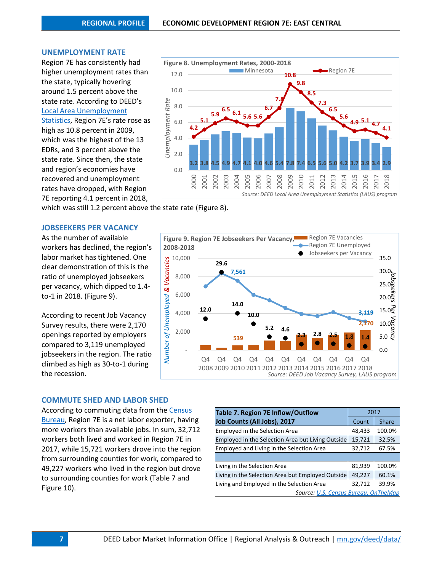#### **UNEMPLOYMENT RATE**

Region 7E has consistently had higher unemployment rates than the state, typically hovering around 1.5 percent above the state rate. According to DEED's [Local Area Unemployment](http://www.mn.gov/deed/data/data-tools/laus/)  [Statistics,](http://www.mn.gov/deed/data/data-tools/laus/) Region 7E's rate rose as high as 10.8 percent in 2009, which was the highest of the 13 EDRs, and 3 percent above the state rate. Since then, the state and region's economies have recovered and unemployment rates have dropped, with Region 7E reporting 4.1 percent in 2018,



which was still 1.2 percent above the state rate (Figure 8).

### **JOBSEEKERS PER VACANCY**

As the number of available workers has declined, the region's labor market has tightened. One clear demonstration of this is the ratio of unemployed jobseekers per vacancy, which dipped to 1.4 to-1 in 2018. (Figure 9).

According to recent Job Vacancy Survey results, there were 2,170 openings reported by employers compared to 3,119 unemployed jobseekers in the region. The ratio climbed as high as 30-to-1 during the recession.



### **COMMUTE SHED AND LABOR SHED**

According to commuting data from the [Census](http://onthemap.ces.census.gov/)  [Bureau,](http://onthemap.ces.census.gov/) Region 7E is a net labor exporter, having more workers than available jobs. In sum, 32,712 workers both lived and worked in Region 7E in 2017, while 15,721 workers drove into the region from surrounding counties for work, compared to 49,227 workers who lived in the region but drove to surrounding counties for work (Table 7 and Figure 10).

| Table 7. Region 7E Inflow/Outflow                 | 2017   |              |
|---------------------------------------------------|--------|--------------|
| Job Counts (All Jobs), 2017                       | Count  | <b>Share</b> |
| <b>Employed in the Selection Area</b>             | 48,433 | 100.0%       |
| Employed in the Selection Area but Living Outside | 15,721 | 32.5%        |
| <b>Employed and Living in the Selection Area</b>  | 32,712 | 67.5%        |
|                                                   |        |              |
| Living in the Selection Area                      | 81,939 | 100.0%       |
| Living in the Selection Area but Employed Outside | 49,227 | 60.1%        |
| Living and Employed in the Selection Area         | 32,712 | 39.9%        |
| Source: U.S. Census Bureau, OnTheMap              |        |              |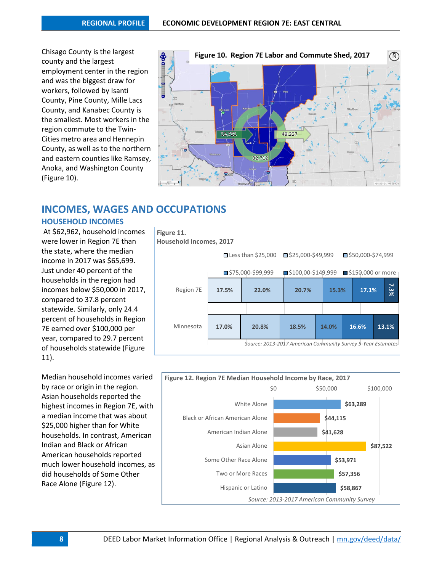Chisago County is the largest county and the largest employment center in the region and was the biggest draw for workers, followed by Isanti County, Pine County, Mille Lacs County, and Kanabec County is the smallest. Most workers in the region commute to the Twin-Cities metro area and Hennepin County, as well as to the northern and eastern counties like Ramsey, Anoka, and Washington County (Figure 10).



# **INCOMES, WAGES AND OCCUPATIONS**

## **HOUSEHOLD INCOMES**

At \$62,962, household incomes were lower in Region 7E than the state, where the median income in 2017 was \$65,699. Just under 40 percent of the households in the region had incomes below \$50,000 in 2017, compared to 37.8 percent statewide. Similarly, only 24.4 percent of households in Region 7E earned over \$100,000 per year, compared to 29.7 percent of households statewide (Figure 11).

Median household incomes varied by race or origin in the region. Asian households reported the highest incomes in Region 7E, with a median income that was about \$25,000 higher than for White households. In contrast, American Indian and Black or African American households reported much lower household incomes, as did households of Some Other Race Alone (Figure 12).



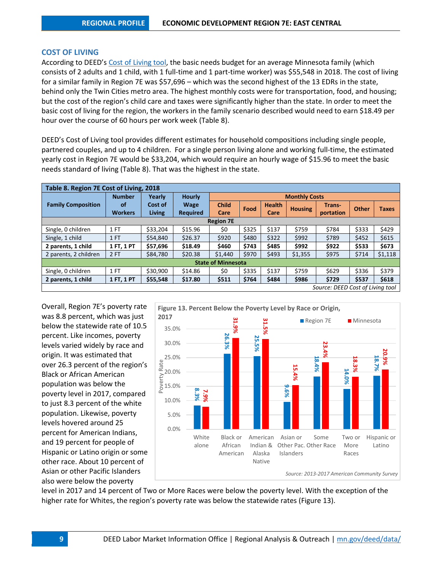### **COST OF LIVING**

According to DEED's [Cost of Living tool,](http://www.mn.gov/deed/data/data-tools/col/) the basic needs budget for an average Minnesota family (which consists of 2 adults and 1 child, with 1 full-time and 1 part-time worker) was \$55,548 in 2018. The cost of living for a similar family in Region 7E was \$57,696 – which was the second highest of the 13 EDRs in the state, behind only the Twin Cities metro area. The highest monthly costs were for transportation, food, and housing; but the cost of the region's child care and taxes were significantly higher than the state. In order to meet the basic cost of living for the region, the workers in the family scenario described would need to earn \$18.49 per hour over the course of 60 hours per work week (Table 8).

DEED's Cost of Living tool provides different estimates for household compositions including single people, partnered couples, and up to 4 children. For a single person living alone and working full-time, the estimated yearly cost in Region 7E would be \$33,204, which would require an hourly wage of \$15.96 to meet the basic needs standard of living (Table 8). That was the highest in the state.

| Table 8. Region 7E Cost of Living, 2018 |                |          |                 |                           |       |               |                |           |       |              |
|-----------------------------------------|----------------|----------|-----------------|---------------------------|-------|---------------|----------------|-----------|-------|--------------|
|                                         | <b>Number</b>  | Yearly   | <b>Hourly</b>   | <b>Monthly Costs</b>      |       |               |                |           |       |              |
| <b>Family Composition</b>               | <b>of</b>      | Cost of  | <b>Wage</b>     | <b>Child</b>              | Food  | <b>Health</b> | <b>Housing</b> | Trans-    |       | <b>Taxes</b> |
|                                         | <b>Workers</b> | Living   | <b>Required</b> | Care                      |       | Care          |                | portation | Other |              |
| <b>Region 7E</b>                        |                |          |                 |                           |       |               |                |           |       |              |
| Single, 0 children                      | 1 FT           | \$33,204 | \$15.96         | \$0                       | \$325 | \$137         | \$759          | \$784     | \$333 | \$429        |
| Single, 1 child                         | 1 FT           | \$54,840 | \$26.37         | \$920                     | \$480 | \$322         | \$992          | \$789     | \$452 | \$615        |
| 2 parents, 1 child                      | 1 FT, 1 PT     | \$57,696 | \$18.49         | \$460                     | \$743 | \$485         | \$992          | \$922     | \$533 | \$673        |
| 2 parents, 2 children                   | 2FT            | \$84,780 | \$20.38         | \$1,440                   | \$970 | \$493         | \$1,355        | \$975     | \$714 | \$1,118      |
|                                         |                |          |                 | <b>State of Minnesota</b> |       |               |                |           |       |              |
| Single, 0 children                      | . FT           | \$30,900 | \$14.86         | \$0                       | \$335 | \$137         | \$759          | \$629     | \$336 | \$379        |
| 2 parents, 1 child                      | 1 FT, 1 PT     | \$55,548 | \$17.80         | \$511                     | \$764 | \$484         | \$986          | \$729     | \$537 | \$618        |
| Source: DEED Cost of Living tool        |                |          |                 |                           |       |               |                |           |       |              |

Overall, Region 7E's poverty rate was 8.8 percent, which was just below the statewide rate of 10.5 percent. Like incomes, poverty levels varied widely by race and origin. It was estimated that over 26.3 percent of the region's Black or African American population was below the poverty level in 2017, compared to just 8.3 percent of the white population. Likewise, poverty levels hovered around 25 percent for American Indians, and 19 percent for people of Hispanic or Latino origin or some other race. About 10 percent of Asian or other Pacific Islanders also were below the poverty



level in 2017 and 14 percent of Two or More Races were below the poverty level. With the exception of the higher rate for Whites, the region's poverty rate was below the statewide rates (Figure 13).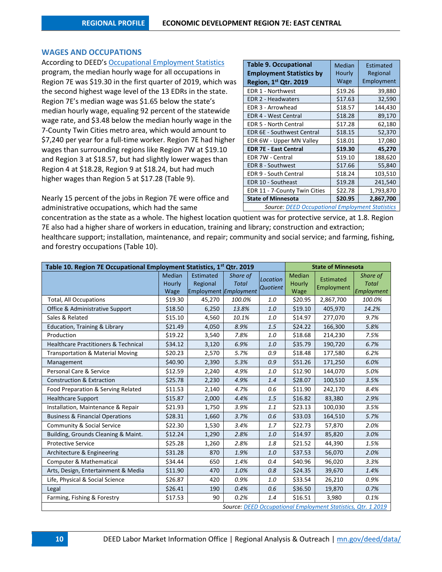### **WAGES AND OCCUPATIONS**

According to DEED's [Occupational Employment Statistics](http://www.mn.gov/deed/data/data-tools/oes/) program, the median hourly wage for all occupations in Region 7E was \$19.30 in the first quarter of 2019, which was the second highest wage level of the 13 EDRs in the state. Region 7E's median wage was \$1.65 below the state's median hourly wage, equaling 92 percent of the statewide wage rate, and \$3.48 below the median hourly wage in the 7-County Twin Cities metro area, which would amount to \$7,240 per year for a full-time worker. Region 7E had higher wages than surrounding regions like Region 7W at \$19.10 and Region 3 at \$18.57, but had slightly lower wages than Region 4 at \$18.28, Region 9 at \$18.24, but had much higher wages than Region 5 at \$17.28 (Table 9).

Nearly 15 percent of the jobs in Region 7E were office and administrative occupations, which had the same

| <b>Table 9. Occupational</b><br><b>Employment Statistics by</b><br>Region, 1st Qtr. 2019 | <b>Median</b><br>Hourly<br>Wage | Estimated<br>Regional<br>Employment |
|------------------------------------------------------------------------------------------|---------------------------------|-------------------------------------|
| EDR 1 - Northwest                                                                        | \$19.26                         | 39,880                              |
| <b>EDR 2 - Headwaters</b>                                                                | \$17.63                         | 32,590                              |
| EDR 3 - Arrowhead                                                                        | \$18.57                         | 144,430                             |
| <b>EDR 4 - West Central</b>                                                              | \$18.28                         | 89,170                              |
| <b>EDR 5 - North Central</b>                                                             | \$17.28                         | 62,180                              |
| <b>EDR 6E - Southwest Central</b>                                                        | \$18.15                         | 52,370                              |
| EDR 6W - Upper MN Valley                                                                 | \$18.01                         | 17,080                              |
| <b>EDR 7E - East Central</b>                                                             | \$19.30                         | 45,270                              |
| EDR 7W - Central                                                                         | \$19.10                         | 188,620                             |
| <b>EDR 8 - Southwest</b>                                                                 | \$17.66                         | 55,840                              |
| EDR 9 - South Central                                                                    | \$18.24                         | 103,510                             |
| EDR 10 - Southeast                                                                       | \$19.28                         | 241,540                             |
| EDR 11 - 7-County Twin Cities                                                            | \$22.78                         | 1,793,870                           |
| <b>State of Minnesota</b>                                                                | \$20.95                         | 2,867,700                           |
| <b>Source: DEED Occupational Employment Statistics</b>                                   |                                 |                                     |

concentration as the state as a whole. The highest location quotient was for protective service, at 1.8. Region 7E also had a higher share of workers in education, training and library; construction and extraction; healthcare support; installation, maintenance, and repair; community and social service; and farming, fishing, and forestry occupations (Table 10).

| Table 10. Region 7E Occupational Employment Statistics, 1 <sup>st</sup> Qtr. 2019 |                                 | <b>State of Minnesota</b>                                    |                          |                             |                                 |                                                              |                                        |
|-----------------------------------------------------------------------------------|---------------------------------|--------------------------------------------------------------|--------------------------|-----------------------------|---------------------------------|--------------------------------------------------------------|----------------------------------------|
|                                                                                   | Median<br>Hourly<br><b>Wage</b> | <b>Estimated</b><br>Regional<br><b>Employment Employment</b> | Share of<br><b>Total</b> | Location<br><b>Quotient</b> | <b>Median</b><br>Hourly<br>Wage | Estimated<br>Employment                                      | Share of<br><b>Total</b><br>Employment |
| <b>Total, All Occupations</b>                                                     | \$19.30                         | 45,270                                                       | 100.0%                   | 1.0                         | \$20.95                         | 2,867,700                                                    | 100.0%                                 |
| Office & Administrative Support                                                   | \$18.50                         | 6,250                                                        | 13.8%                    | 1.0                         | \$19.10                         | 405,970                                                      | 14.2%                                  |
| Sales & Related                                                                   | \$15.10                         | 4,560                                                        | 10.1%                    | 1.0                         | \$14.97                         | 277,070                                                      | 9.7%                                   |
| <b>Education, Training &amp; Library</b>                                          | \$21.49                         | 4,050                                                        | 8.9%                     | 1.5                         | \$24.22                         | 166,300                                                      | 5.8%                                   |
| Production                                                                        | \$19.22                         | 3,540                                                        | 7.8%                     | 1.0                         | \$18.68                         | 214,230                                                      | 7.5%                                   |
| Healthcare Practitioners & Technical                                              | \$34.12                         | 3,120                                                        | 6.9%                     | 1.0                         | \$35.79                         | 190,720                                                      | 6.7%                                   |
| <b>Transportation &amp; Material Moving</b>                                       | \$20.23                         | 2,570                                                        | 5.7%                     | 0.9                         | \$18.48                         | 177,580                                                      | 6.2%                                   |
| Management                                                                        | \$40.90                         | 2,390                                                        | 5.3%                     | 0.9                         | \$51.26                         | 171,250                                                      | 6.0%                                   |
| Personal Care & Service                                                           | \$12.59                         | 2,240                                                        | 4.9%                     | 1.0                         | \$12.90                         | 144,070                                                      | 5.0%                                   |
| <b>Construction &amp; Extraction</b>                                              | \$25.78                         | 2,230                                                        | 4.9%                     | 1.4                         | \$28.07                         | 100,510                                                      | 3.5%                                   |
| Food Preparation & Serving Related                                                | \$11.53                         | 2,140                                                        | 4.7%                     | 0.6                         | \$11.90                         | 242,170                                                      | 8.4%                                   |
| <b>Healthcare Support</b>                                                         | \$15.87                         | 2,000                                                        | 4.4%                     | 1.5                         | \$16.82                         | 83,380                                                       | 2.9%                                   |
| Installation, Maintenance & Repair                                                | \$21.93                         | 1,750                                                        | 3.9%                     | 1.1                         | \$23.13                         | 100,030                                                      | 3.5%                                   |
| <b>Business &amp; Financial Operations</b>                                        | \$28.31                         | 1,660                                                        | 3.7%                     | 0.6                         | \$33.03                         | 164,510                                                      | 5.7%                                   |
| <b>Community &amp; Social Service</b>                                             | \$22.30                         | 1,530                                                        | 3.4%                     | 1.7                         | \$22.73                         | 57,870                                                       | 2.0%                                   |
| Building, Grounds Cleaning & Maint.                                               | \$12.24                         | 1,290                                                        | 2.8%                     | 1.0                         | \$14.97                         | 85,820                                                       | 3.0%                                   |
| <b>Protective Service</b>                                                         | \$25.28                         | 1,260                                                        | 2.8%                     | 1.8                         | \$21.52                         | 44,390                                                       | 1.5%                                   |
| Architecture & Engineering                                                        | \$31.28                         | 870                                                          | 1.9%                     | 1.0                         | \$37.53                         | 56,070                                                       | 2.0%                                   |
| Computer & Mathematical                                                           | \$34.44                         | 650                                                          | 1.4%                     | 0.4                         | \$40.96                         | 96,020                                                       | 3.3%                                   |
| Arts, Design, Entertainment & Media                                               | \$11.90                         | 470                                                          | 1.0%                     | 0.8                         | \$24.35                         | 39,670                                                       | 1.4%                                   |
| Life, Physical & Social Science                                                   | \$26.87                         | 420                                                          | 0.9%                     | 1.0                         | \$33.54                         | 26,210                                                       | 0.9%                                   |
| Legal                                                                             | \$26.41                         | 190                                                          | 0.4%                     | 0.6                         | \$36.50                         | 19,870                                                       | 0.7%                                   |
| Farming, Fishing & Forestry                                                       | \$17.53                         | 90                                                           | 0.2%                     | 1.4                         | \$16.51                         | 3,980                                                        | 0.1%                                   |
|                                                                                   |                                 |                                                              |                          |                             |                                 | Source: DEED Occupational Employment Statistics, Qtr. 1 2019 |                                        |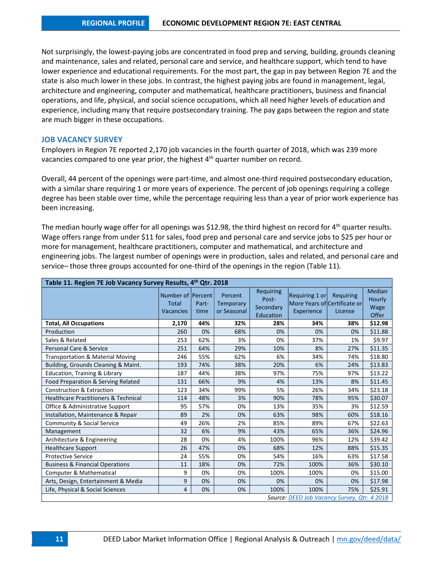Not surprisingly, the lowest-paying jobs are concentrated in food prep and serving, building, grounds cleaning and maintenance, sales and related, personal care and service, and healthcare support, which tend to have lower experience and educational requirements. For the most part, the gap in pay between Region 7E and the state is also much lower in these jobs. In contrast, the highest paying jobs are found in management, legal, architecture and engineering, computer and mathematical, healthcare practitioners, business and financial operations, and life, physical, and social science occupations, which all need higher levels of education and experience, including many that require postsecondary training. The pay gaps between the region and state are much bigger in these occupations.

### **JOB VACANCY SURVEY**

Employers in Region 7E reported 2,170 job vacancies in the fourth quarter of 2018, which was 239 more vacancies compared to one year prior, the highest 4<sup>th</sup> quarter number on record.

Overall, 44 percent of the openings were part-time, and almost one-third required postsecondary education, with a similar share requiring 1 or more years of experience. The percent of job openings requiring a college degree has been stable over time, while the percentage requiring less than a year of prior work experience has been increasing.

The median hourly wage offer for all openings was \$12.98, the third highest on record for  $4<sup>th</sup>$  quarter results. Wage offers range from under \$11 for sales, food prep and personal care and service jobs to \$25 per hour or more for management, healthcare practitioners, computer and mathematical, and architecture and engineering jobs. The largest number of openings were in production, sales and related, and personal care and service– those three groups accounted for one-third of the openings in the region (Table 11).

| Table 11. Region 7E Job Vacancy Survey Results, 4th Qtr. 2018 |                                                              |               |                                            |                                              |                                                              |                      |                                   |  |  |  |
|---------------------------------------------------------------|--------------------------------------------------------------|---------------|--------------------------------------------|----------------------------------------------|--------------------------------------------------------------|----------------------|-----------------------------------|--|--|--|
|                                                               | Number of <b>Percent</b><br><b>Total</b><br><b>Vacancies</b> | Part-<br>time | Percent<br><b>Temporary</b><br>or Seasonal | Requiring<br>Post-<br>Secondary<br>Education | Requiring 1 or<br>More Years of Certificate or<br>Experience | Requiring<br>License | Median<br>Hourly<br>Wage<br>Offer |  |  |  |
| <b>Total, All Occupations</b>                                 | 2,170                                                        | 44%           | 32%                                        | 28%                                          | 34%                                                          | 38%                  | \$12.98                           |  |  |  |
| Production                                                    | 260                                                          | 0%            | 68%                                        | 0%                                           | 0%                                                           | 0%                   | \$11.88                           |  |  |  |
| Sales & Related                                               | 253                                                          | 62%           | 3%                                         | 0%                                           | 37%                                                          | 1%                   | \$9.97                            |  |  |  |
| Personal Care & Service                                       | 251                                                          | 64%           | 29%                                        | 10%                                          | 8%                                                           | 27%                  | \$11.35                           |  |  |  |
| <b>Transportation &amp; Material Moving</b>                   | 246                                                          | 55%           | 62%                                        | 6%                                           | 34%                                                          | 74%                  | \$18.80                           |  |  |  |
| Building, Grounds Cleaning & Maint.                           | 193                                                          | 74%           | 38%                                        | 20%                                          | 6%                                                           | 24%                  | \$13.83                           |  |  |  |
| Education, Training & Library                                 | 187                                                          | 44%           | 38%                                        | 97%                                          | 75%                                                          | 97%                  | \$13.22                           |  |  |  |
| Food Preparation & Serving Related                            | 131                                                          | 66%           | 9%                                         | 4%                                           | 13%                                                          | 8%                   | \$11.45                           |  |  |  |
| <b>Construction &amp; Extraction</b>                          | 123                                                          | 34%           | 99%                                        | 5%                                           | 26%                                                          | 34%                  | \$23.18                           |  |  |  |
| <b>Healthcare Practitioners &amp; Technical</b>               | 114                                                          | 48%           | 3%                                         | 90%                                          | 78%                                                          | 95%                  | \$30.07                           |  |  |  |
| Office & Administrative Support                               | 95                                                           | 57%           | 0%                                         | 13%                                          | 35%                                                          | 3%                   | \$12.59                           |  |  |  |
| Installation, Maintenance & Repair                            | 89                                                           | 2%            | 0%                                         | 63%                                          | 98%                                                          | 60%                  | \$18.16                           |  |  |  |
| <b>Community &amp; Social Service</b>                         | 49                                                           | 26%           | 2%                                         | 85%                                          | 89%                                                          | 67%                  | \$22.63                           |  |  |  |
| Management                                                    | 32                                                           | 6%            | 9%                                         | 43%                                          | 65%                                                          | 36%                  | \$24.96                           |  |  |  |
| Architecture & Engineering                                    | 28                                                           | 0%            | 4%                                         | 100%                                         | 96%                                                          | 12%                  | \$39.42                           |  |  |  |
| <b>Healthcare Support</b>                                     | 26                                                           | 47%           | 0%                                         | 68%                                          | 12%                                                          | 88%                  | \$15.35                           |  |  |  |
| <b>Protective Service</b>                                     | 24                                                           | 55%           | 0%                                         | 54%                                          | 16%                                                          | 63%                  | \$17.58                           |  |  |  |
| <b>Business &amp; Financial Operations</b>                    | 11                                                           | 18%           | 0%                                         | 72%                                          | 100%                                                         | 36%                  | \$30.10                           |  |  |  |
| Computer & Mathematical                                       | 9                                                            | 0%            | 0%                                         | 100%                                         | 100%                                                         | 0%                   | \$15.00                           |  |  |  |
| Arts, Design, Entertainment & Media                           | 9                                                            | 0%            | 0%                                         | 0%                                           | 0%                                                           | 0%                   | \$17.98                           |  |  |  |
| Life, Physical & Social Sciences                              | 4                                                            | 0%            | 0%                                         | 100%                                         | 100%                                                         | 75%                  | \$25.91                           |  |  |  |
|                                                               |                                                              |               |                                            |                                              | Source: DEED Job Vacancy Survey, Qtr. 4 2018                 |                      |                                   |  |  |  |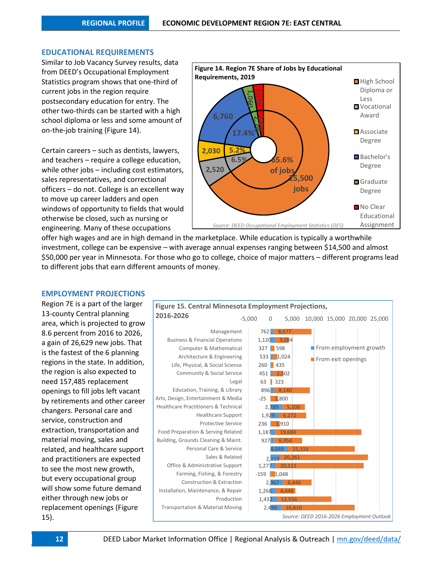### **EDUCATIONAL REQUIREMENTS**

Similar to Job Vacancy Survey results, data from DEED's Occupational Employment Statistics program shows that one-third of current jobs in the region require postsecondary education for entry. The other two-thirds can be started with a high school diploma or less and some amount of on-the-job training (Figure 14).

Certain careers – such as dentists, lawyers, and teachers – require a college education, while other jobs – including cost estimators, sales representatives, and correctional officers – do not. College is an excellent way to move up career ladders and open windows of opportunity to fields that would otherwise be closed, such as nursing or engineering. Many of these occupations



offer high wages and are in high demand in the marketplace. While education is typically a worthwhile investment, college can be expensive – with average annual expenses ranging between \$14,500 and almost \$50,000 per year in Minnesota. For those who go to college, choice of major matters – different programs lead to different jobs that earn different amounts of money.

### **EMPLOYMENT PROJECTIONS**

Region 7E is a part of the larger 13-county Central planning area, which is projected to grow 8.6 percent from 2016 to 2026, a gain of 26,629 new jobs. That is the fastest of the 6 planning regions in the state. In addition, the region is also expected to need 157,485 replacement openings to fill jobs left vacant by retirements and other career changers. Personal care and service, construction and extraction, transportation and material moving, sales and related, and healthcare support and practitioners are expected to see the most new growth, but every occupational group will show some future demand either through new jobs or replacement openings (Figure 15).

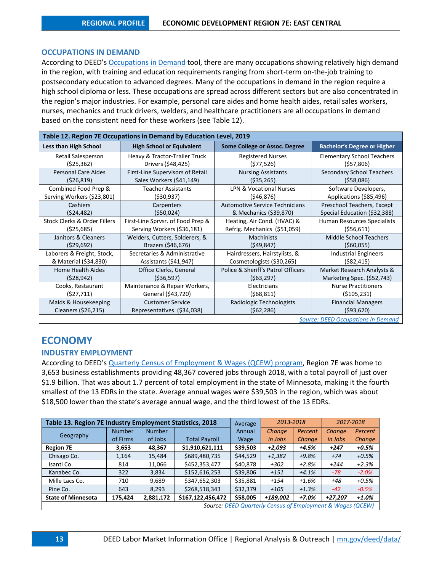### **OCCUPATIONS IN DEMAND**

According to DEED's [Occupations in Demand](http://www.mn.gov/deed/data/data-tools/oid/) tool, there are many occupations showing relatively high demand in the region, with training and education requirements ranging from short-term on-the-job training to postsecondary education to advanced degrees. Many of the occupations in demand in the region require a high school diploma or less. These occupations are spread across different sectors but are also concentrated in the region's major industries. For example, personal care aides and home health aides, retail sales workers, nurses, mechanics and truck drivers, welders, and healthcare practitioners are all occupations in demand based on the consistent need for these workers (see Table 12).

| Table 12. Region 7E Occupations in Demand by Education Level, 2019 |                                   |                                       |                                    |  |  |  |  |
|--------------------------------------------------------------------|-----------------------------------|---------------------------------------|------------------------------------|--|--|--|--|
| <b>Less than High School</b>                                       | <b>High School or Equivalent</b>  | Some College or Assoc. Degree         | <b>Bachelor's Degree or Higher</b> |  |  |  |  |
| Retail Salesperson                                                 | Heavy & Tractor-Trailer Truck     | <b>Registered Nurses</b>              | <b>Elementary School Teachers</b>  |  |  |  |  |
| (525, 362)                                                         | Drivers (\$48,425)                | (\$77,526)                            | (557,806)                          |  |  |  |  |
| <b>Personal Care Aides</b>                                         | First-Line Supervisors of Retail  | <b>Nursing Assistants</b>             | Secondary School Teachers          |  |  |  |  |
| ( \$26, 819)                                                       | Sales Workers (\$41,149)          | ( \$35, 265)                          | (558,086)                          |  |  |  |  |
| Combined Food Prep &                                               | <b>Teacher Assistants</b>         | <b>LPN &amp; Vocational Nurses</b>    | Software Developers,               |  |  |  |  |
| Serving Workers (\$23,801)                                         | (530, 937)                        | (546, 876)                            | Applications (\$85,496)            |  |  |  |  |
| Cashiers                                                           | Carpenters                        | <b>Automotive Service Technicians</b> | Preschool Teachers, Except         |  |  |  |  |
| (524, 482)                                                         | (550, 024)                        | & Mechanics (\$39,870)                | Special Education (\$32,388)       |  |  |  |  |
| Stock Clerks & Order Fillers                                       | First-Line Sprvsr. of Food Prep & | Heating, Air Cond. (HVAC) &           | Human Resources Specialists        |  |  |  |  |
| (525, 685)                                                         | Serving Workers (\$36,181)        | Refrig. Mechanics (\$51,059)          | (556, 611)                         |  |  |  |  |
| Janitors & Cleaners                                                | Welders, Cutters, Solderers, &    | <b>Machinists</b>                     | <b>Middle School Teachers</b>      |  |  |  |  |
| (529, 692)                                                         | Brazers (\$46,676)                | (549, 847)                            | (560,055)                          |  |  |  |  |
| Laborers & Freight, Stock,                                         | Secretaries & Administrative      | Hairdressers, Hairstylists, &         | <b>Industrial Engineers</b>        |  |  |  |  |
| & Material (\$34,830)                                              | Assistants (\$41,947)             | Cosmetologists (\$30,265)             | (582, 415)                         |  |  |  |  |
| Home Health Aides                                                  | Office Clerks, General            | Police & Sheriff's Patrol Officers    | Market Research Analysts &         |  |  |  |  |
| (528, 942)                                                         | ( \$36, 597)                      | (563, 297)                            | Marketing Spec. (\$52,743)         |  |  |  |  |
| Cooks, Restaurant                                                  | Maintenance & Repair Workers,     | Electricians                          | <b>Nurse Practitioners</b>         |  |  |  |  |
| (527, 711)                                                         | General (\$43,720)                | (568, 811)                            | ( \$105, 231)                      |  |  |  |  |
| Maids & Housekeeping                                               | <b>Customer Service</b>           | Radiologic Technologists              | <b>Financial Managers</b>          |  |  |  |  |
| Cleaners (\$26,215)                                                | Representatives (\$34,038)        | (562, 286)                            | (593,620)                          |  |  |  |  |
| Source: DEED Occupations in Demand                                 |                                   |                                       |                                    |  |  |  |  |

# **ECONOMY**

### **INDUSTRY EMPLOYMENT**

According to DEED's [Quarterly Census of Employment & Wages \(QCEW\) program,](http://www.mn.gov/deed/data/data-tools/qcew/) Region 7E was home to 3,653 business establishments providing 48,367 covered jobs through 2018, with a total payroll of just over \$1.9 billion. That was about 1.7 percent of total employment in the state of Minnesota, making it the fourth smallest of the 13 EDRs in the state. Average annual wages were \$39,503 in the region, which was about \$18,500 lower than the state's average annual wage, and the third lowest of the 13 EDRs.

| Table 13. Region 7E Industry Employment Statistics, 2018              |               |               |                      | Average     | 2013-2018 |               | 2017-2018 |               |
|-----------------------------------------------------------------------|---------------|---------------|----------------------|-------------|-----------|---------------|-----------|---------------|
|                                                                       | <b>Number</b> | <b>Number</b> |                      | Annual      | Change    | Percent       | Change    | Percent       |
| Geography                                                             | of Firms      | of Jobs       | <b>Total Payroll</b> | <b>Wage</b> | in Jobs   | <b>Change</b> | in Jobs   | <b>Change</b> |
| <b>Region 7E</b>                                                      | 3,653         | 48.367        | \$1.910.621.111      | \$39,503    | $+2.093$  | +4.5%         | $+247$    | $+0.5%$       |
| Chisago Co.                                                           | 1,164         | 15,484        | \$689,480,735        | \$44,529    | $+1,382$  | $+9.8%$       | $+74$     | $+0.5%$       |
| Isanti Co.                                                            | 814           | 11,066        | \$452,353,477        | \$40,878    | $+302$    | $+2.8%$       | $+244$    | $+2.3%$       |
| Kanabec Co.                                                           | 322           | 3,834         | \$152,616,253        | \$39,806    | $+151$    | $+4.1%$       | $-78$     | $-2.0%$       |
| Mille Lacs Co.                                                        | 710           | 9,689         | \$347,652,303        | \$35,881    | $+154$    | +1.6%         | +48       | $+0.5%$       |
| Pine Co.                                                              | 643           | 8,293         | \$268,518,343        | \$32,379    | $+105$    | $+1.3%$       | $-42$     | $-0.5%$       |
| <b>State of Minnesota</b>                                             | 175,424       | 2,881,172     | \$167,122,456,472    | \$58,005    | +189,002  | +7.0%         | +27.207   | $+1.0%$       |
| <b>Source: DEED Quarterly Census of Employment &amp; Wages (QCEW)</b> |               |               |                      |             |           |               |           |               |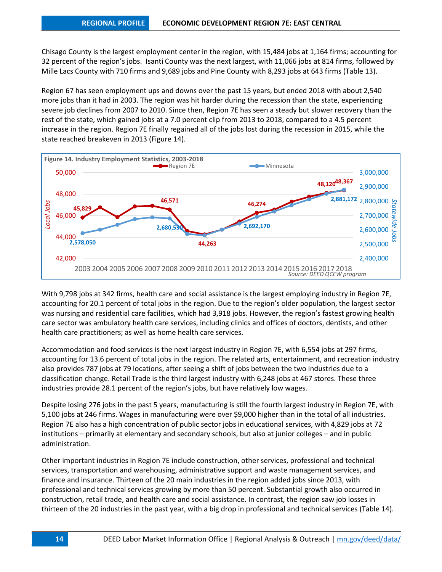Chisago County is the largest employment center in the region, with 15,484 jobs at 1,164 firms; accounting for 32 percent of the region's jobs. Isanti County was the next largest, with 11,066 jobs at 814 firms, followed by Mille Lacs County with 710 firms and 9,689 jobs and Pine County with 8,293 jobs at 643 firms (Table 13).

Region 67 has seen employment ups and downs over the past 15 years, but ended 2018 with about 2,540 more jobs than it had in 2003. The region was hit harder during the recession than the state, experiencing severe job declines from 2007 to 2010. Since then, Region 7E has seen a steady but slower recovery than the rest of the state, which gained jobs at a 7.0 percent clip from 2013 to 2018, compared to a 4.5 percent increase in the region. Region 7E finally regained all of the jobs lost during the recession in 2015, while the state reached breakeven in 2013 (Figure 14).



With 9,798 jobs at 342 firms, health care and social assistance is the largest employing industry in Region 7E, accounting for 20.1 percent of total jobs in the region. Due to the region's older population, the largest sector was nursing and residential care facilities, which had 3,918 jobs. However, the region's fastest growing health care sector was ambulatory health care services, including clinics and offices of doctors, dentists, and other health care practitioners; as well as home health care services.

Accommodation and food services is the next largest industry in Region 7E, with 6,554 jobs at 297 firms, accounting for 13.6 percent of total jobs in the region. The related arts, entertainment, and recreation industry also provides 787 jobs at 79 locations, after seeing a shift of jobs between the two industries due to a classification change. Retail Trade is the third largest industry with 6,248 jobs at 467 stores. These three industries provide 28.1 percent of the region's jobs, but have relatively low wages.

Despite losing 276 jobs in the past 5 years, manufacturing is still the fourth largest industry in Region 7E, with 5,100 jobs at 246 firms. Wages in manufacturing were over \$9,000 higher than in the total of all industries. Region 7E also has a high concentration of public sector jobs in educational services, with 4,829 jobs at 72 institutions – primarily at elementary and secondary schools, but also at junior colleges – and in public administration.

Other important industries in Region 7E include construction, other services, professional and technical services, transportation and warehousing, administrative support and waste management services, and finance and insurance. Thirteen of the 20 main industries in the region added jobs since 2013, with professional and technical services growing by more than 50 percent. Substantial growth also occurred in construction, retail trade, and health care and social assistance. In contrast, the region saw job losses in thirteen of the 20 industries in the past year, with a big drop in professional and technical services (Table 14).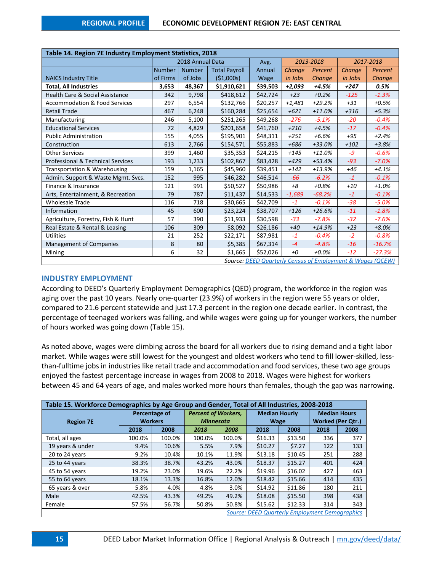| Table 14. Region 7E Industry Employment Statistics, 2018   |                  |               |                      |          |           |          |         |           |
|------------------------------------------------------------|------------------|---------------|----------------------|----------|-----------|----------|---------|-----------|
|                                                            | 2018 Annual Data |               |                      | Avg.     | 2013-2018 |          |         | 2017-2018 |
|                                                            | <b>Number</b>    | <b>Number</b> | <b>Total Payroll</b> | Annual   | Change    | Percent  | Change  | Percent   |
| <b>NAICS Industry Title</b>                                | of Firms         | of Jobs       | (51,000s)            | Wage     | in Jobs   | Change   | in Jobs | Change    |
| <b>Total, All Industries</b>                               | 3,653            | 48,367        | \$1,910,621          | \$39,503 | +2,093    | +4.5%    | +247    | 0.5%      |
| <b>Health Care &amp; Social Assistance</b>                 | 342              | 9,798         | \$418,612            | \$42,724 | $+23$     | $+0.2%$  | $-125$  | $-1.3%$   |
| <b>Accommodation &amp; Food Services</b>                   | 297              | 6,554         | \$132,766            | \$20,257 | $+1,481$  | $+29.2%$ | $+31$   | $+0.5%$   |
| <b>Retail Trade</b>                                        | 467              | 6,248         | \$160,284            | \$25,654 | $+621$    | $+11.0%$ | $+316$  | $+5.3%$   |
| Manufacturing                                              | 246              | 5,100         | \$251,265            | \$49,268 | $-276$    | $-5.1%$  | $-20$   | $-0.4%$   |
| <b>Educational Services</b>                                | 72               | 4,829         | \$201,658            | \$41,760 | $+210$    | $+4.5%$  | $-17$   | $-0.4%$   |
| <b>Public Administration</b>                               | 155              | 4,055         | \$195,901            | \$48,311 | $+251$    | $+6.6%$  | $+95$   | $+2.4%$   |
| Construction                                               | 613              | 2,766         | \$154,571            | \$55,883 | $+686$    | +33.0%   | $+102$  | $+3.8%$   |
| <b>Other Services</b>                                      | 399              | 1,460         | \$35,353             | \$24,215 | $+145$    | $+11.0%$ | $-9$    | $-0.6%$   |
| Professional & Technical Services                          | 193              | 1,233         | \$102,867            | \$83,428 | $+429$    | $+53.4%$ | $-93$   | $-7.0%$   |
| Transportation & Warehousing                               | 159              | 1,165         | \$45,960             | \$39,451 | $+142$    | +13.9%   | $+46$   | $+4.1%$   |
| Admin. Support & Waste Mgmt. Svcs.                         | 152              | 995           | \$46,282             | \$46,514 | $-66$     | $-6.2%$  | $-1$    | $-0.1%$   |
| Finance & Insurance                                        | 121              | 991           | \$50,527             | \$50,986 | $+8$      | $+0.8%$  | $+10$   | $+1.0%$   |
| Arts, Entertainment, & Recreation                          | 79               | 787           | \$11,437             | \$14,533 | $-1,689$  | $-68.2%$ | $-1$    | $-0.1%$   |
| <b>Wholesale Trade</b>                                     | 116              | 718           | \$30,665             | \$42,709 | $-1$      | $-0.1%$  | $-38$   | $-5.0%$   |
| Information                                                | 45               | 600           | \$23,224             | \$38,707 | $+126$    | $+26.6%$ | $-11$   | $-1.8%$   |
| Agriculture, Forestry, Fish & Hunt                         | 57               | 390           | \$11,933             | \$30,598 | $-33$     | $-7.8%$  | $-32$   | $-7.6%$   |
| Real Estate & Rental & Leasing                             | 106              | 309           | \$8,092              | \$26,186 | $+40$     | $+14.9%$ | $+23$   | $+8.0%$   |
| <b>Utilities</b>                                           | 21               | 252           | \$22,171             | \$87,981 | $-1$      | $-0.4%$  | $-2$    | $-0.8%$   |
| <b>Management of Companies</b>                             | 8                | 80            | \$5,385              | \$67,314 | $-4$      | $-4.8%$  | $-16$   | $-16.7%$  |
| Mining                                                     | 6                | 32            | \$1,665              | \$52,026 | $+0$      | $+0.0%$  | $-12$   | $-27.3%$  |
| Source: DEED Quarterly Census of Employment & Wages (QCEW) |                  |               |                      |          |           |          |         |           |

### **INDUSTRY EMPLOYMENT**

According to DEED's Quarterly Employment Demographics (QED) program, the workforce in the region was aging over the past 10 years. Nearly one-quarter (23.9%) of workers in the region were 55 years or older, compared to 21.6 percent statewide and just 17.3 percent in the region one decade earlier. In contrast, the percentage of teenaged workers was falling, and while wages were going up for younger workers, the number of hours worked was going down (Table 15).

As noted above, wages were climbing across the board for all workers due to rising demand and a tight labor market. While wages were still lowest for the youngest and oldest workers who tend to fill lower-skilled, lessthan-fulltime jobs in industries like retail trade and accommodation and food services, these two age groups enjoyed the fastest percentage increase in wages from 2008 to 2018. Wages were highest for workers between 45 and 64 years of age, and males worked more hours than females, though the gap was narrowing.

| Table 15. Workforce Demographics by Age Group and Gender, Total of All Industries, 2008-2018 |                |               |                                                |        |                      |         |                          |      |
|----------------------------------------------------------------------------------------------|----------------|---------------|------------------------------------------------|--------|----------------------|---------|--------------------------|------|
|                                                                                              |                | Percentage of | <b>Percent of Workers,</b><br><b>Minnesota</b> |        | <b>Median Hourly</b> |         | <b>Median Hours</b>      |      |
| <b>Region 7E</b>                                                                             | <b>Workers</b> |               |                                                |        | <b>Wage</b>          |         | <b>Worked (Per Qtr.)</b> |      |
|                                                                                              | 2018           | 2008          | 2018                                           | 2008   | 2018                 | 2008    | 2018                     | 2008 |
| Total, all ages                                                                              | 100.0%         | 100.0%        | 100.0%                                         | 100.0% | \$16.33              | \$13.50 | 336                      | 377  |
| 19 years & under                                                                             | 9.4%           | 10.6%         | 5.5%                                           | 7.9%   | \$10.27              | \$7.27  | 122                      | 133  |
| 20 to 24 years                                                                               | 9.2%           | 10.4%         | 10.1%                                          | 11.9%  | \$13.18              | \$10.45 | 251                      | 288  |
| 25 to 44 years                                                                               | 38.3%          | 38.7%         | 43.2%                                          | 43.0%  | \$18.37              | \$15.27 | 401                      | 424  |
| 45 to 54 years                                                                               | 19.2%          | 23.0%         | 19.6%                                          | 22.2%  | \$19.96              | \$16.02 | 427                      | 463  |
| 55 to 64 years                                                                               | 18.1%          | 13.3%         | 16.8%                                          | 12.0%  | \$18.42              | \$15.66 | 414                      | 435  |
| 65 years & over                                                                              | 5.8%           | 4.0%          | 4.8%                                           | 3.0%   | \$14.92              | \$11.86 | 180                      | 211  |
| Male                                                                                         | 42.5%          | 43.3%         | 49.2%                                          | 49.2%  | \$18.08              | \$15.50 | 398                      | 438  |
| Female                                                                                       | 57.5%          | 56.7%         | 50.8%                                          | 50.8%  | \$15.62              | \$12.33 | 314                      | 343  |
| <b>Source: DEED Quarterly Employment Demographics</b>                                        |                |               |                                                |        |                      |         |                          |      |